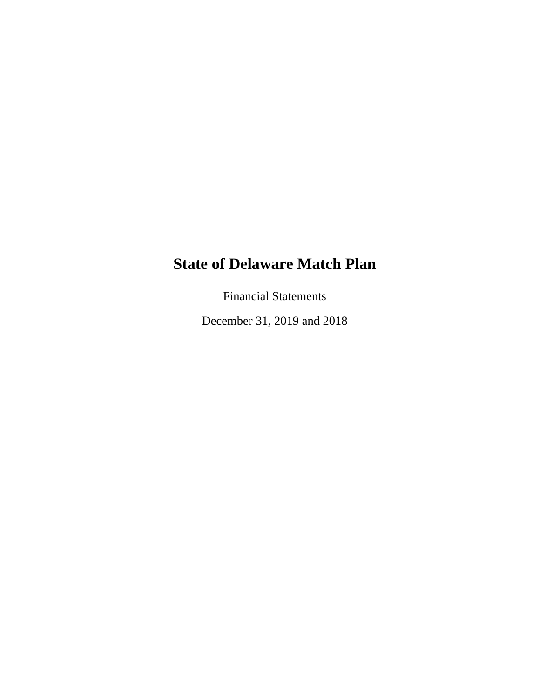Financial Statements

December 31, 2019 and 2018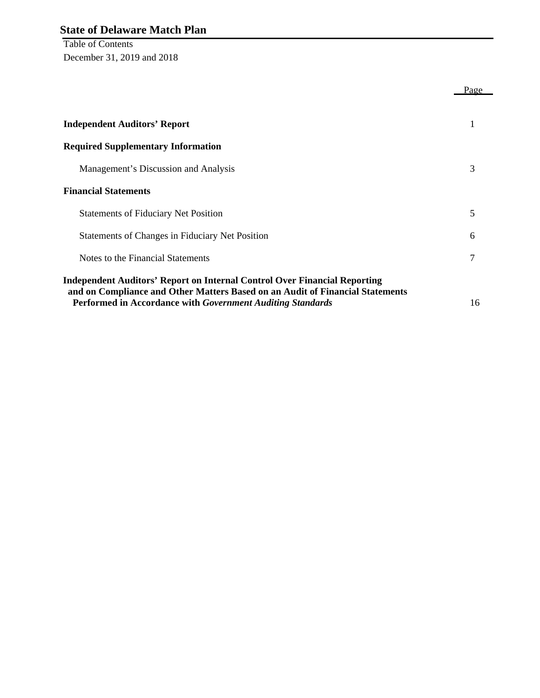Table of Contents December 31, 2019 and 2018

|                                                                                                                                                                                                                                 | Page |
|---------------------------------------------------------------------------------------------------------------------------------------------------------------------------------------------------------------------------------|------|
| <b>Independent Auditors' Report</b>                                                                                                                                                                                             |      |
| <b>Required Supplementary Information</b>                                                                                                                                                                                       |      |
| Management's Discussion and Analysis                                                                                                                                                                                            | 3    |
| <b>Financial Statements</b>                                                                                                                                                                                                     |      |
| <b>Statements of Fiduciary Net Position</b>                                                                                                                                                                                     | 5    |
| Statements of Changes in Fiduciary Net Position                                                                                                                                                                                 | 6    |
| Notes to the Financial Statements                                                                                                                                                                                               | 7    |
| Independent Auditors' Report on Internal Control Over Financial Reporting<br>and on Compliance and Other Matters Based on an Audit of Financial Statements<br><b>Performed in Accordance with Government Auditing Standards</b> | 16   |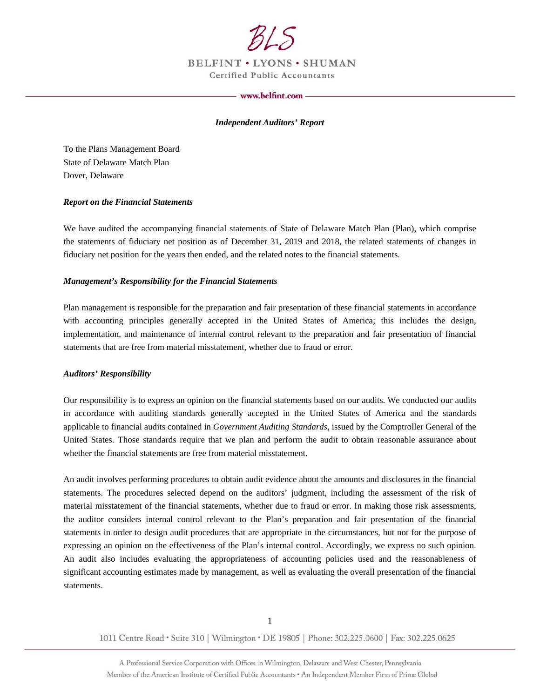

**BELFINT . LYONS . SHUMAN Certified Public Accountants** 

#### www.belfint.com

#### *Independent Auditors' Report*

To the Plans Management Board State of Delaware Match Plan Dover, Delaware

#### *Report on the Financial Statements*

We have audited the accompanying financial statements of State of Delaware Match Plan (Plan), which comprise the statements of fiduciary net position as of December 31, 2019 and 2018, the related statements of changes in fiduciary net position for the years then ended, and the related notes to the financial statements.

#### *Management's Responsibility for the Financial Statements*

Plan management is responsible for the preparation and fair presentation of these financial statements in accordance with accounting principles generally accepted in the United States of America; this includes the design, implementation, and maintenance of internal control relevant to the preparation and fair presentation of financial statements that are free from material misstatement, whether due to fraud or error.

#### *Auditors' Responsibility*

Our responsibility is to express an opinion on the financial statements based on our audits. We conducted our audits in accordance with auditing standards generally accepted in the United States of America and the standards applicable to financial audits contained in *Government Auditing Standards*, issued by the Comptroller General of the United States. Those standards require that we plan and perform the audit to obtain reasonable assurance about whether the financial statements are free from material misstatement.

An audit involves performing procedures to obtain audit evidence about the amounts and disclosures in the financial statements. The procedures selected depend on the auditors' judgment, including the assessment of the risk of material misstatement of the financial statements, whether due to fraud or error. In making those risk assessments, the auditor considers internal control relevant to the Plan's preparation and fair presentation of the financial statements in order to design audit procedures that are appropriate in the circumstances, but not for the purpose of expressing an opinion on the effectiveness of the Plan's internal control. Accordingly, we express no such opinion. An audit also includes evaluating the appropriateness of accounting policies used and the reasonableness of significant accounting estimates made by management, as well as evaluating the overall presentation of the financial statements.

1011 Centre Road • Suite 310 | Wilmington • DE 19805 | Phone: 302.225.0600 | Fax: 302.225.0625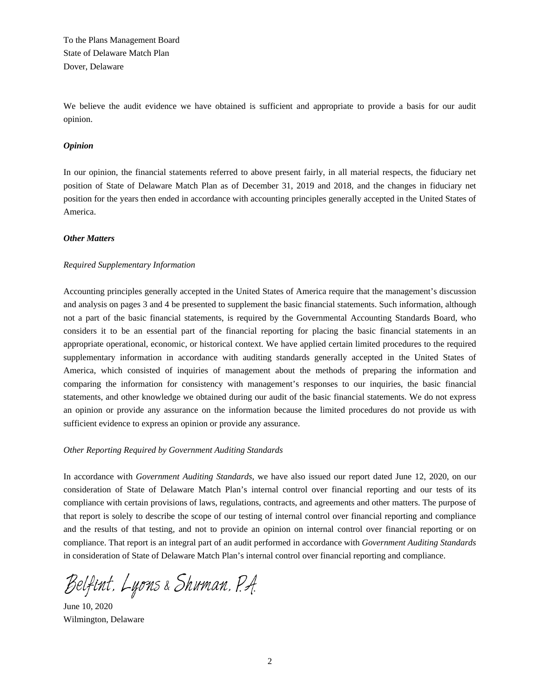To the Plans Management Board State of Delaware Match Plan Dover, Delaware

We believe the audit evidence we have obtained is sufficient and appropriate to provide a basis for our audit opinion.

### *Opinion*

In our opinion, the financial statements referred to above present fairly, in all material respects, the fiduciary net position of State of Delaware Match Plan as of December 31, 2019 and 2018, and the changes in fiduciary net position for the years then ended in accordance with accounting principles generally accepted in the United States of America.

#### *Other Matters*

#### *Required Supplementary Information*

Accounting principles generally accepted in the United States of America require that the management's discussion and analysis on pages 3 and 4 be presented to supplement the basic financial statements. Such information, although not a part of the basic financial statements, is required by the Governmental Accounting Standards Board, who considers it to be an essential part of the financial reporting for placing the basic financial statements in an appropriate operational, economic, or historical context. We have applied certain limited procedures to the required supplementary information in accordance with auditing standards generally accepted in the United States of America, which consisted of inquiries of management about the methods of preparing the information and comparing the information for consistency with management's responses to our inquiries, the basic financial statements, and other knowledge we obtained during our audit of the basic financial statements. We do not express an opinion or provide any assurance on the information because the limited procedures do not provide us with sufficient evidence to express an opinion or provide any assurance.

#### *Other Reporting Required by Government Auditing Standards*

In accordance with *Government Auditing Standards*, we have also issued our report dated June 12, 2020, on our consideration of State of Delaware Match Plan's internal control over financial reporting and our tests of its compliance with certain provisions of laws, regulations, contracts, and agreements and other matters. The purpose of that report is solely to describe the scope of our testing of internal control over financial reporting and compliance and the results of that testing, and not to provide an opinion on internal control over financial reporting or on compliance. That report is an integral part of an audit performed in accordance with *Government Auditing Standards* in consideration of State of Delaware Match Plan's internal control over financial reporting and compliance.

Belfint, Lyons & Shuman, P.A.

June 10, 2020 Wilmington, Delaware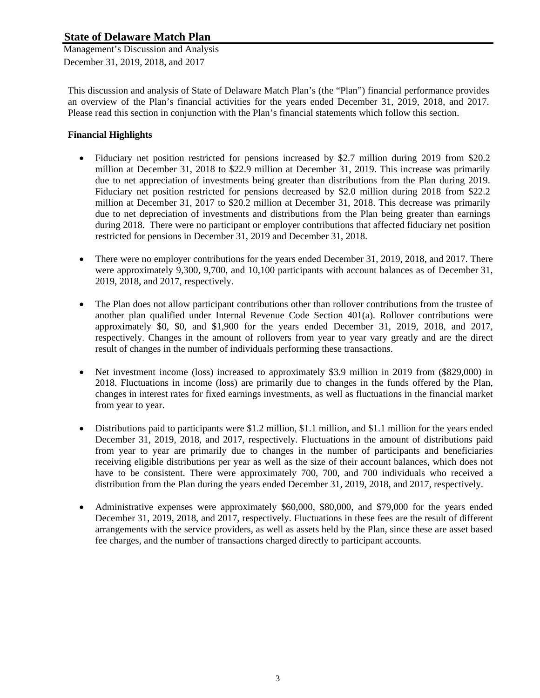Management's Discussion and Analysis December 31, 2019, 2018, and 2017

This discussion and analysis of State of Delaware Match Plan's (the "Plan") financial performance provides an overview of the Plan's financial activities for the years ended December 31, 2019, 2018, and 2017. Please read this section in conjunction with the Plan's financial statements which follow this section.

# **Financial Highlights**

- Fiduciary net position restricted for pensions increased by \$2.7 million during 2019 from \$20.2 million at December 31, 2018 to \$22.9 million at December 31, 2019. This increase was primarily due to net appreciation of investments being greater than distributions from the Plan during 2019. Fiduciary net position restricted for pensions decreased by \$2.0 million during 2018 from \$22.2 million at December 31, 2017 to \$20.2 million at December 31, 2018. This decrease was primarily due to net depreciation of investments and distributions from the Plan being greater than earnings during 2018. There were no participant or employer contributions that affected fiduciary net position restricted for pensions in December 31, 2019 and December 31, 2018.
- There were no employer contributions for the years ended December 31, 2019, 2018, and 2017. There were approximately 9,300, 9,700, and 10,100 participants with account balances as of December 31, 2019, 2018, and 2017, respectively.
- The Plan does not allow participant contributions other than rollover contributions from the trustee of another plan qualified under Internal Revenue Code Section 401(a). Rollover contributions were approximately \$0, \$0, and \$1,900 for the years ended December 31, 2019, 2018, and 2017, respectively. Changes in the amount of rollovers from year to year vary greatly and are the direct result of changes in the number of individuals performing these transactions.
- Net investment income (loss) increased to approximately \$3.9 million in 2019 from (\$829,000) in 2018. Fluctuations in income (loss) are primarily due to changes in the funds offered by the Plan, changes in interest rates for fixed earnings investments, as well as fluctuations in the financial market from year to year.
- Distributions paid to participants were \$1.2 million, \$1.1 million, and \$1.1 million for the years ended December 31, 2019, 2018, and 2017, respectively. Fluctuations in the amount of distributions paid from year to year are primarily due to changes in the number of participants and beneficiaries receiving eligible distributions per year as well as the size of their account balances, which does not have to be consistent. There were approximately 700, 700, and 700 individuals who received a distribution from the Plan during the years ended December 31, 2019, 2018, and 2017, respectively.
- Administrative expenses were approximately \$60,000, \$80,000, and \$79,000 for the years ended December 31, 2019, 2018, and 2017, respectively. Fluctuations in these fees are the result of different arrangements with the service providers, as well as assets held by the Plan, since these are asset based fee charges, and the number of transactions charged directly to participant accounts.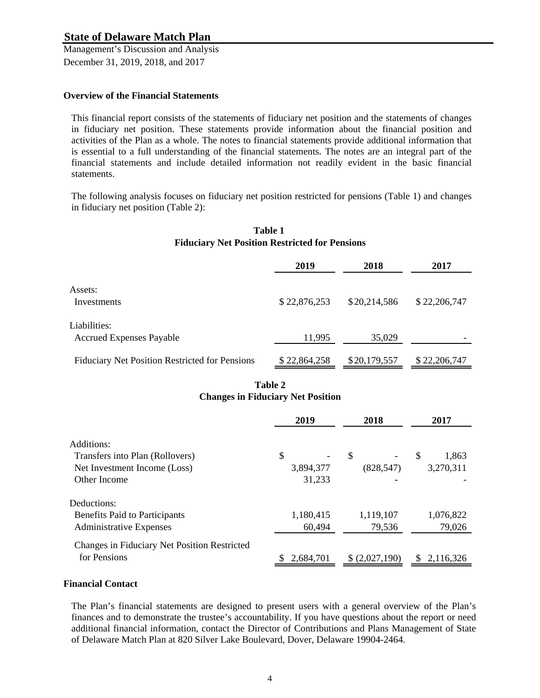Management's Discussion and Analysis December 31, 2019, 2018, and 2017

## **Overview of the Financial Statements**

This financial report consists of the statements of fiduciary net position and the statements of changes in fiduciary net position. These statements provide information about the financial position and activities of the Plan as a whole. The notes to financial statements provide additional information that is essential to a full understanding of the financial statements. The notes are an integral part of the financial statements and include detailed information not readily evident in the basic financial statements.

The following analysis focuses on fiduciary net position restricted for pensions (Table 1) and changes in fiduciary net position (Table 2):

|                                                       | 2019         | 2018         | 2017         |
|-------------------------------------------------------|--------------|--------------|--------------|
| Assets:                                               |              |              |              |
| Investments                                           | \$22,876,253 | \$20,214,586 | \$22,206,747 |
| Liabilities:                                          |              |              |              |
| <b>Accrued Expenses Payable</b>                       | 11,995       | 35,029       |              |
| <b>Fiduciary Net Position Restricted for Pensions</b> | \$22,864,258 | \$20,179,557 | \$22,206,747 |

## **Table 1 Fiduciary Net Position Restricted for Pensions**

## **Table 2 Changes in Fiduciary Net Position**

|                                              | 2019      | 2018          | 2017       |
|----------------------------------------------|-----------|---------------|------------|
| Additions:                                   |           |               |            |
| Transfers into Plan (Rollovers)              | \$        | \$            | S<br>1,863 |
| Net Investment Income (Loss)                 | 3,894,377 | (828, 547)    | 3,270,311  |
| Other Income                                 | 31,233    |               |            |
| Deductions:                                  |           |               |            |
| <b>Benefits Paid to Participants</b>         | 1,180,415 | 1,119,107     | 1,076,822  |
| Administrative Expenses                      | 60,494    | 79,536        | 79,026     |
| Changes in Fiduciary Net Position Restricted |           |               |            |
| for Pensions                                 | 2,684,701 | \$(2,027,190) | 2,116,326  |
|                                              |           |               |            |

## **Financial Contact**

The Plan's financial statements are designed to present users with a general overview of the Plan's finances and to demonstrate the trustee's accountability. If you have questions about the report or need additional financial information, contact the Director of Contributions and Plans Management of State of Delaware Match Plan at 820 Silver Lake Boulevard, Dover, Delaware 19904-2464.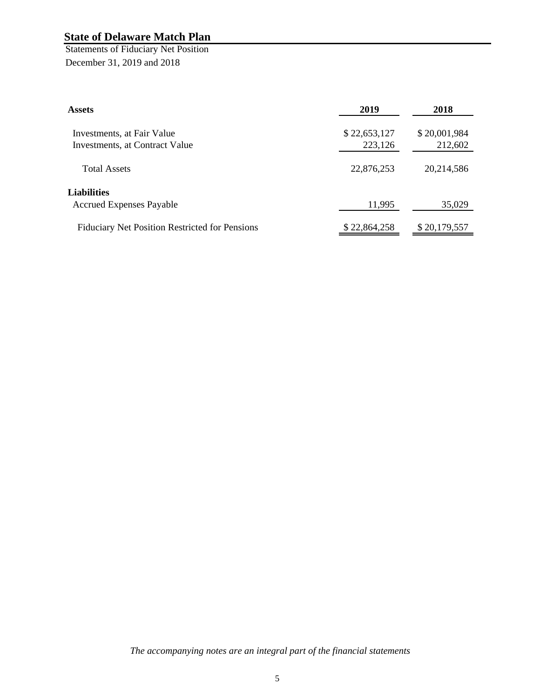Statements of Fiduciary Net Position December 31, 2019 and 2018

| <b>Assets</b>                                                | 2019                    | 2018                    |
|--------------------------------------------------------------|-------------------------|-------------------------|
| Investments, at Fair Value<br>Investments, at Contract Value | \$22,653,127<br>223,126 | \$20,001,984<br>212,602 |
| <b>Total Assets</b>                                          | 22,876,253              | 20,214,586              |
| <b>Liabilities</b><br><b>Accrued Expenses Payable</b>        | 11,995                  | 35,029                  |
|                                                              |                         |                         |
| <b>Fiduciary Net Position Restricted for Pensions</b>        | \$22,864,258            | \$20,179,557            |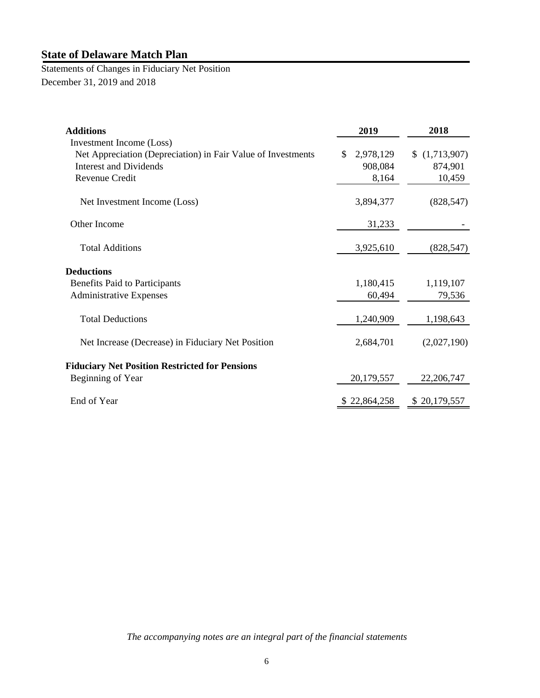Statements of Changes in Fiduciary Net Position December 31, 2019 and 2018

| <b>Additions</b>                                                                                                          | 2019                       | 2018                         |
|---------------------------------------------------------------------------------------------------------------------------|----------------------------|------------------------------|
| Investment Income (Loss)<br>Net Appreciation (Depreciation) in Fair Value of Investments<br><b>Interest and Dividends</b> | 2,978,129<br>\$<br>908,084 | (1,713,907)<br>S.<br>874,901 |
| Revenue Credit                                                                                                            | 8,164                      | 10,459                       |
| Net Investment Income (Loss)                                                                                              | 3,894,377                  | (828, 547)                   |
| Other Income                                                                                                              | 31,233                     |                              |
| <b>Total Additions</b>                                                                                                    | 3,925,610                  | (828, 547)                   |
| <b>Deductions</b>                                                                                                         |                            |                              |
| <b>Benefits Paid to Participants</b>                                                                                      | 1,180,415                  | 1,119,107                    |
| <b>Administrative Expenses</b>                                                                                            | 60,494                     | 79,536                       |
| <b>Total Deductions</b>                                                                                                   | 1,240,909                  | 1,198,643                    |
| Net Increase (Decrease) in Fiduciary Net Position                                                                         | 2,684,701                  | (2,027,190)                  |
| <b>Fiduciary Net Position Restricted for Pensions</b>                                                                     |                            |                              |
| Beginning of Year                                                                                                         | 20,179,557                 | 22,206,747                   |
| End of Year                                                                                                               | 22,864,258                 | \$20,179,557                 |

*The accompanying notes are an integral part of the financial statements*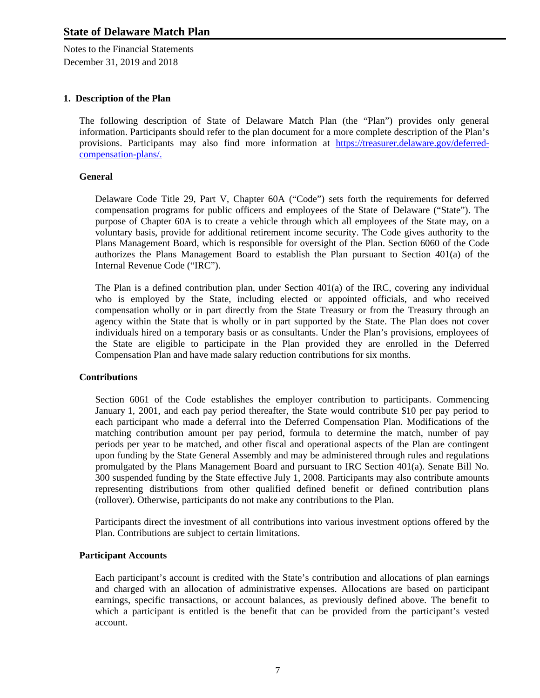## **1. Description of the Plan**

The following description of State of Delaware Match Plan (the "Plan") provides only general information. Participants should refer to the plan document for a more complete description of the Plan's provisions. Participants may also find more information at https://treasurer.delaware.gov/deferredcompensation-plans/.

## **General**

Delaware Code Title 29, Part V, Chapter 60A ("Code") sets forth the requirements for deferred compensation programs for public officers and employees of the State of Delaware ("State"). The purpose of Chapter 60A is to create a vehicle through which all employees of the State may, on a voluntary basis, provide for additional retirement income security. The Code gives authority to the Plans Management Board, which is responsible for oversight of the Plan. Section 6060 of the Code authorizes the Plans Management Board to establish the Plan pursuant to Section 401(a) of the Internal Revenue Code ("IRC").

The Plan is a defined contribution plan, under Section 401(a) of the IRC, covering any individual who is employed by the State, including elected or appointed officials, and who received compensation wholly or in part directly from the State Treasury or from the Treasury through an agency within the State that is wholly or in part supported by the State. The Plan does not cover individuals hired on a temporary basis or as consultants. Under the Plan's provisions, employees of the State are eligible to participate in the Plan provided they are enrolled in the Deferred Compensation Plan and have made salary reduction contributions for six months.

## **Contributions**

Section 6061 of the Code establishes the employer contribution to participants. Commencing January 1, 2001, and each pay period thereafter, the State would contribute \$10 per pay period to each participant who made a deferral into the Deferred Compensation Plan. Modifications of the matching contribution amount per pay period, formula to determine the match, number of pay periods per year to be matched, and other fiscal and operational aspects of the Plan are contingent upon funding by the State General Assembly and may be administered through rules and regulations promulgated by the Plans Management Board and pursuant to IRC Section 401(a). Senate Bill No. 300 suspended funding by the State effective July 1, 2008. Participants may also contribute amounts representing distributions from other qualified defined benefit or defined contribution plans (rollover). Otherwise, participants do not make any contributions to the Plan.

Participants direct the investment of all contributions into various investment options offered by the Plan. Contributions are subject to certain limitations.

## **Participant Accounts**

Each participant's account is credited with the State's contribution and allocations of plan earnings and charged with an allocation of administrative expenses. Allocations are based on participant earnings, specific transactions, or account balances, as previously defined above. The benefit to which a participant is entitled is the benefit that can be provided from the participant's vested account.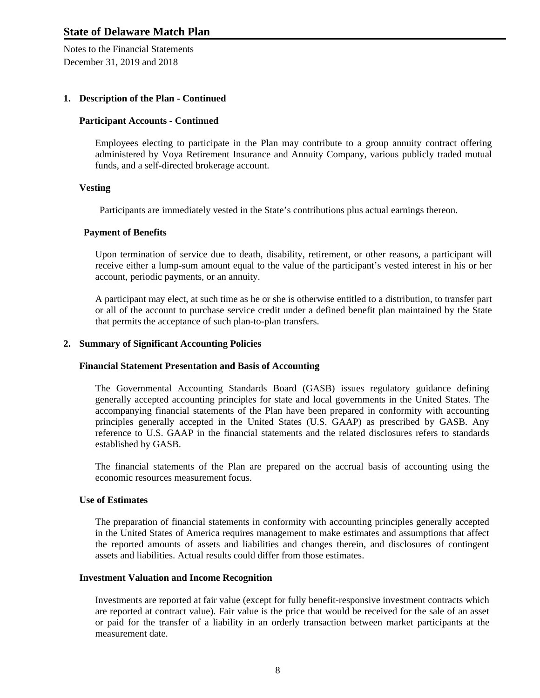## **1. Description of the Plan - Continued**

## **Participant Accounts - Continued**

Employees electing to participate in the Plan may contribute to a group annuity contract offering administered by Voya Retirement Insurance and Annuity Company, various publicly traded mutual funds, and a self-directed brokerage account.

## **Vesting**

Participants are immediately vested in the State's contributions plus actual earnings thereon.

## **Payment of Benefits**

Upon termination of service due to death, disability, retirement, or other reasons, a participant will receive either a lump-sum amount equal to the value of the participant's vested interest in his or her account, periodic payments, or an annuity.

A participant may elect, at such time as he or she is otherwise entitled to a distribution, to transfer part or all of the account to purchase service credit under a defined benefit plan maintained by the State that permits the acceptance of such plan-to-plan transfers.

## **2. Summary of Significant Accounting Policies**

# **Financial Statement Presentation and Basis of Accounting**

The Governmental Accounting Standards Board (GASB) issues regulatory guidance defining generally accepted accounting principles for state and local governments in the United States. The accompanying financial statements of the Plan have been prepared in conformity with accounting principles generally accepted in the United States (U.S. GAAP) as prescribed by GASB. Any reference to U.S. GAAP in the financial statements and the related disclosures refers to standards established by GASB.

The financial statements of the Plan are prepared on the accrual basis of accounting using the economic resources measurement focus.

# **Use of Estimates**

The preparation of financial statements in conformity with accounting principles generally accepted in the United States of America requires management to make estimates and assumptions that affect the reported amounts of assets and liabilities and changes therein, and disclosures of contingent assets and liabilities. Actual results could differ from those estimates.

## **Investment Valuation and Income Recognition**

Investments are reported at fair value (except for fully benefit-responsive investment contracts which are reported at contract value). Fair value is the price that would be received for the sale of an asset or paid for the transfer of a liability in an orderly transaction between market participants at the measurement date.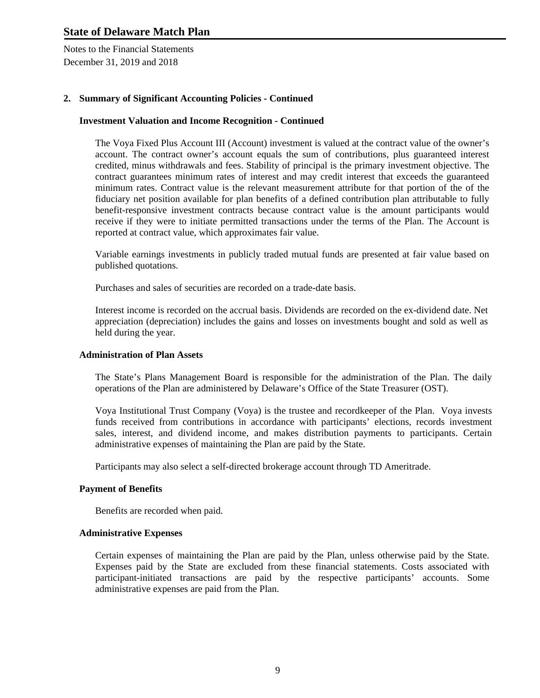Notes to the Financial Statements December 31, 2019 and 2018

## **2. Summary of Significant Accounting Policies - Continued**

## **Investment Valuation and Income Recognition - Continued**

The Voya Fixed Plus Account III (Account) investment is valued at the contract value of the owner's account. The contract owner's account equals the sum of contributions, plus guaranteed interest credited, minus withdrawals and fees. Stability of principal is the primary investment objective. The contract guarantees minimum rates of interest and may credit interest that exceeds the guaranteed minimum rates. Contract value is the relevant measurement attribute for that portion of the of the fiduciary net position available for plan benefits of a defined contribution plan attributable to fully benefit-responsive investment contracts because contract value is the amount participants would receive if they were to initiate permitted transactions under the terms of the Plan. The Account is reported at contract value, which approximates fair value.

Variable earnings investments in publicly traded mutual funds are presented at fair value based on published quotations.

Purchases and sales of securities are recorded on a trade-date basis.

Interest income is recorded on the accrual basis. Dividends are recorded on the ex-dividend date. Net appreciation (depreciation) includes the gains and losses on investments bought and sold as well as held during the year.

## **Administration of Plan Assets**

The State's Plans Management Board is responsible for the administration of the Plan. The daily operations of the Plan are administered by Delaware's Office of the State Treasurer (OST).

Voya Institutional Trust Company (Voya) is the trustee and recordkeeper of the Plan. Voya invests funds received from contributions in accordance with participants' elections, records investment sales, interest, and dividend income, and makes distribution payments to participants. Certain administrative expenses of maintaining the Plan are paid by the State.

Participants may also select a self-directed brokerage account through TD Ameritrade.

## **Payment of Benefits**

Benefits are recorded when paid.

## **Administrative Expenses**

Certain expenses of maintaining the Plan are paid by the Plan, unless otherwise paid by the State. Expenses paid by the State are excluded from these financial statements. Costs associated with participant-initiated transactions are paid by the respective participants' accounts. Some administrative expenses are paid from the Plan.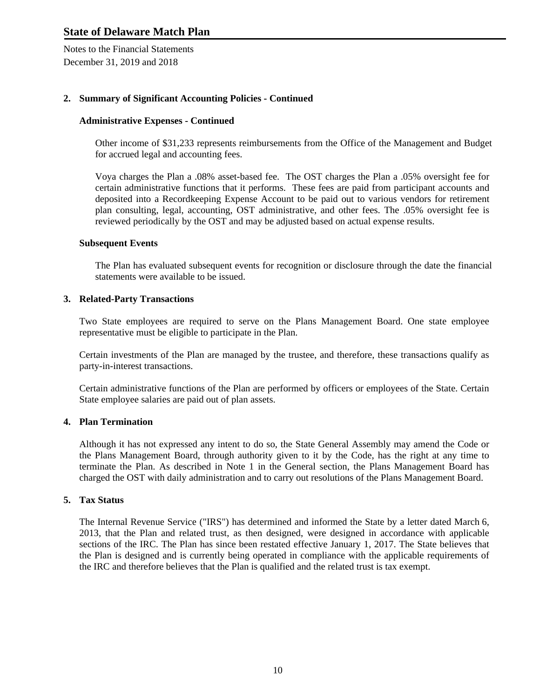Notes to the Financial Statements December 31, 2019 and 2018

## **2. Summary of Significant Accounting Policies - Continued**

## **Administrative Expenses - Continued**

Other income of \$31,233 represents reimbursements from the Office of the Management and Budget for accrued legal and accounting fees.

Voya charges the Plan a .08% asset-based fee. The OST charges the Plan a .05% oversight fee for certain administrative functions that it performs. These fees are paid from participant accounts and deposited into a Recordkeeping Expense Account to be paid out to various vendors for retirement plan consulting, legal, accounting, OST administrative, and other fees. The .05% oversight fee is reviewed periodically by the OST and may be adjusted based on actual expense results.

## **Subsequent Events**

The Plan has evaluated subsequent events for recognition or disclosure through the date the financial statements were available to be issued.

## **3. Related-Party Transactions**

Two State employees are required to serve on the Plans Management Board. One state employee representative must be eligible to participate in the Plan.

Certain investments of the Plan are managed by the trustee, and therefore, these transactions qualify as party-in-interest transactions.

Certain administrative functions of the Plan are performed by officers or employees of the State. Certain State employee salaries are paid out of plan assets.

## **4. Plan Termination**

Although it has not expressed any intent to do so, the State General Assembly may amend the Code or the Plans Management Board, through authority given to it by the Code, has the right at any time to terminate the Plan. As described in Note 1 in the General section, the Plans Management Board has charged the OST with daily administration and to carry out resolutions of the Plans Management Board.

## **5. Tax Status**

The Internal Revenue Service ("IRS") has determined and informed the State by a letter dated March 6, 2013, that the Plan and related trust, as then designed, were designed in accordance with applicable sections of the IRC. The Plan has since been restated effective January 1, 2017. The State believes that the Plan is designed and is currently being operated in compliance with the applicable requirements of the IRC and therefore believes that the Plan is qualified and the related trust is tax exempt.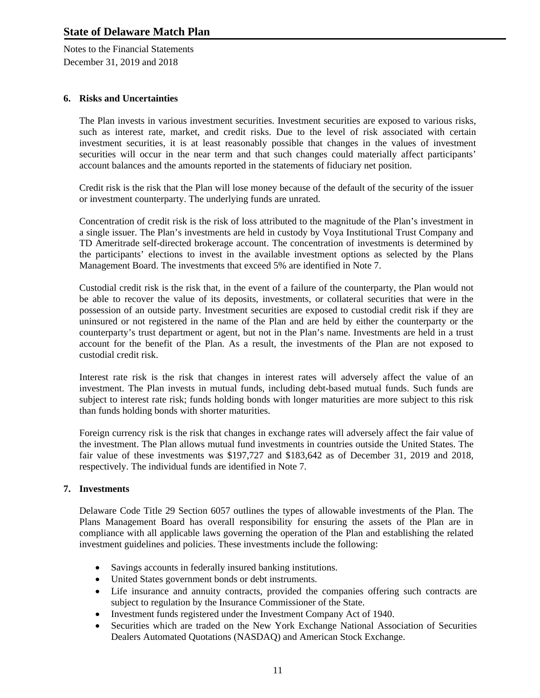## **6. Risks and Uncertainties**

The Plan invests in various investment securities. Investment securities are exposed to various risks, such as interest rate, market, and credit risks. Due to the level of risk associated with certain investment securities, it is at least reasonably possible that changes in the values of investment securities will occur in the near term and that such changes could materially affect participants' account balances and the amounts reported in the statements of fiduciary net position.

Credit risk is the risk that the Plan will lose money because of the default of the security of the issuer or investment counterparty. The underlying funds are unrated.

Concentration of credit risk is the risk of loss attributed to the magnitude of the Plan's investment in a single issuer. The Plan's investments are held in custody by Voya Institutional Trust Company and TD Ameritrade self-directed brokerage account. The concentration of investments is determined by the participants' elections to invest in the available investment options as selected by the Plans Management Board. The investments that exceed 5% are identified in Note 7.

Custodial credit risk is the risk that, in the event of a failure of the counterparty, the Plan would not be able to recover the value of its deposits, investments, or collateral securities that were in the possession of an outside party. Investment securities are exposed to custodial credit risk if they are uninsured or not registered in the name of the Plan and are held by either the counterparty or the counterparty's trust department or agent, but not in the Plan's name. Investments are held in a trust account for the benefit of the Plan. As a result, the investments of the Plan are not exposed to custodial credit risk.

Interest rate risk is the risk that changes in interest rates will adversely affect the value of an investment. The Plan invests in mutual funds, including debt-based mutual funds. Such funds are subject to interest rate risk; funds holding bonds with longer maturities are more subject to this risk than funds holding bonds with shorter maturities.

Foreign currency risk is the risk that changes in exchange rates will adversely affect the fair value of the investment. The Plan allows mutual fund investments in countries outside the United States. The fair value of these investments was \$197,727 and \$183,642 as of December 31, 2019 and 2018, respectively. The individual funds are identified in Note 7.

# **7. Investments**

Delaware Code Title 29 Section 6057 outlines the types of allowable investments of the Plan. The Plans Management Board has overall responsibility for ensuring the assets of the Plan are in compliance with all applicable laws governing the operation of the Plan and establishing the related investment guidelines and policies. These investments include the following:

- Savings accounts in federally insured banking institutions.
- United States government bonds or debt instruments.
- Life insurance and annuity contracts, provided the companies offering such contracts are subject to regulation by the Insurance Commissioner of the State.
- Investment funds registered under the Investment Company Act of 1940.
- Securities which are traded on the New York Exchange National Association of Securities Dealers Automated Quotations (NASDAQ) and American Stock Exchange.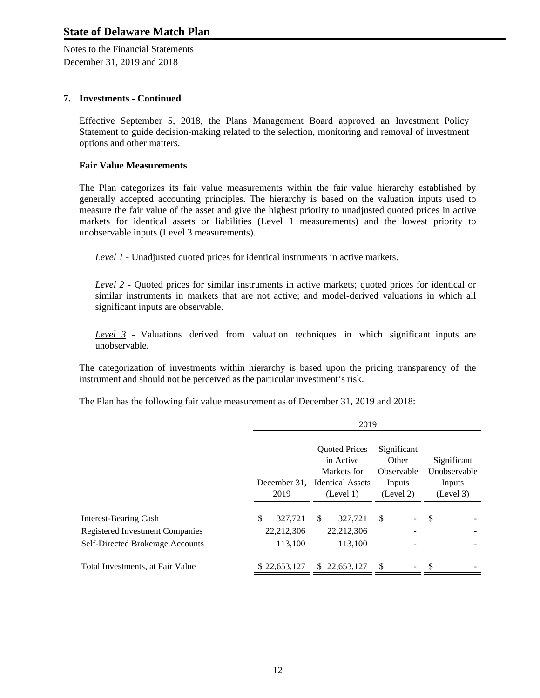## **7. Investments - Continued**

Effective September 5, 2018, the Plans Management Board approved an Investment Policy Statement to guide decision-making related to the selection, monitoring and removal of investment options and other matters.

## **Fair Value Measurements**

The Plan categorizes its fair value measurements within the fair value hierarchy established by generally accepted accounting principles. The hierarchy is based on the valuation inputs used to measure the fair value of the asset and give the highest priority to unadjusted quoted prices in active markets for identical assets or liabilities (Level 1 measurements) and the lowest priority to unobservable inputs (Level 3 measurements).

*Level 1* - Unadjusted quoted prices for identical instruments in active markets.

*Level 2* - Quoted prices for similar instruments in active markets; quoted prices for identical or similar instruments in markets that are not active; and model-derived valuations in which all significant inputs are observable.

*Level 3* - Valuations derived from valuation techniques in which significant inputs are unobservable.

The categorization of investments within hierarchy is based upon the pricing transparency of the instrument and should not be perceived as the particular investment's risk.

The Plan has the following fair value measurement as of December 31, 2019 and 2018:

|                                        | 2019 |                      |                                                                                          |              |                                                           |  |                                                    |  |  |  |
|----------------------------------------|------|----------------------|------------------------------------------------------------------------------------------|--------------|-----------------------------------------------------------|--|----------------------------------------------------|--|--|--|
|                                        |      | December 31.<br>2019 | <b>Ouoted Prices</b><br>in Active<br>Markets for<br><b>Identical Assets</b><br>(Level 1) |              | Significant<br>Other<br>Observable<br>Inputs<br>(Level 2) |  | Significant<br>Unobservable<br>Inputs<br>(Level 3) |  |  |  |
| Interest-Bearing Cash                  | \$   | 327,721              | \$                                                                                       | 327,721      | $\mathbb{S}$                                              |  | <sup>\$</sup>                                      |  |  |  |
| <b>Registered Investment Companies</b> |      | 22,212,306           |                                                                                          | 22,212,306   |                                                           |  |                                                    |  |  |  |
| Self-Directed Brokerage Accounts       |      | 113,100              |                                                                                          | 113,100      |                                                           |  |                                                    |  |  |  |
| Total Investments, at Fair Value       |      | \$22,653,127         |                                                                                          | \$22,653,127 | $\mathcal{S}$                                             |  | S.                                                 |  |  |  |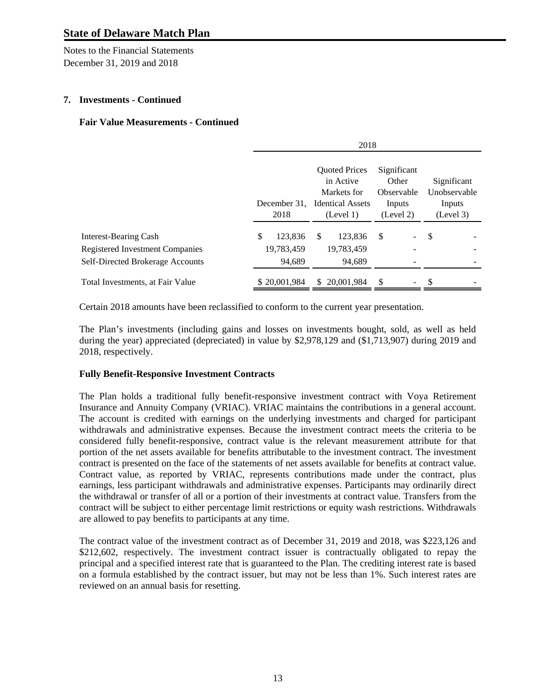Notes to the Financial Statements December 31, 2019 and 2018

## **7. Investments - Continued**

## **Fair Value Measurements - Continued**

|                                         | 2018                 |              |                                                                                          |            |                                                           |  |                                                    |  |
|-----------------------------------------|----------------------|--------------|------------------------------------------------------------------------------------------|------------|-----------------------------------------------------------|--|----------------------------------------------------|--|
|                                         | December 31,<br>2018 |              | <b>Ouoted Prices</b><br>in Active<br>Markets for<br><b>Identical Assets</b><br>(Level 1) |            | Significant<br>Other<br>Observable<br>Inputs<br>(Level 2) |  | Significant<br>Unobservable<br>Inputs<br>(Level 3) |  |
| <b>Interest-Bearing Cash</b>            | \$                   | 123,836      | \$                                                                                       | 123,836    | \$                                                        |  | \$                                                 |  |
| <b>Registered Investment Companies</b>  |                      | 19,783,459   |                                                                                          | 19,783,459 |                                                           |  |                                                    |  |
| <b>Self-Directed Brokerage Accounts</b> |                      | 94,689       |                                                                                          | 94,689     |                                                           |  |                                                    |  |
| Total Investments, at Fair Value        |                      | \$20,001.984 | S.                                                                                       | 20,001.984 | S.                                                        |  | S                                                  |  |

Certain 2018 amounts have been reclassified to conform to the current year presentation.

The Plan's investments (including gains and losses on investments bought, sold, as well as held during the year) appreciated (depreciated) in value by \$2,978,129 and (\$1,713,907) during 2019 and 2018, respectively.

## **Fully Benefit-Responsive Investment Contracts**

The Plan holds a traditional fully benefit-responsive investment contract with Voya Retirement Insurance and Annuity Company (VRIAC). VRIAC maintains the contributions in a general account. The account is credited with earnings on the underlying investments and charged for participant withdrawals and administrative expenses. Because the investment contract meets the criteria to be considered fully benefit-responsive, contract value is the relevant measurement attribute for that portion of the net assets available for benefits attributable to the investment contract. The investment contract is presented on the face of the statements of net assets available for benefits at contract value. Contract value, as reported by VRIAC, represents contributions made under the contract, plus earnings, less participant withdrawals and administrative expenses. Participants may ordinarily direct the withdrawal or transfer of all or a portion of their investments at contract value. Transfers from the contract will be subject to either percentage limit restrictions or equity wash restrictions. Withdrawals are allowed to pay benefits to participants at any time.

The contract value of the investment contract as of December 31, 2019 and 2018, was \$223,126 and \$212,602, respectively. The investment contract issuer is contractually obligated to repay the principal and a specified interest rate that is guaranteed to the Plan. The crediting interest rate is based on a formula established by the contract issuer, but may not be less than 1%. Such interest rates are reviewed on an annual basis for resetting.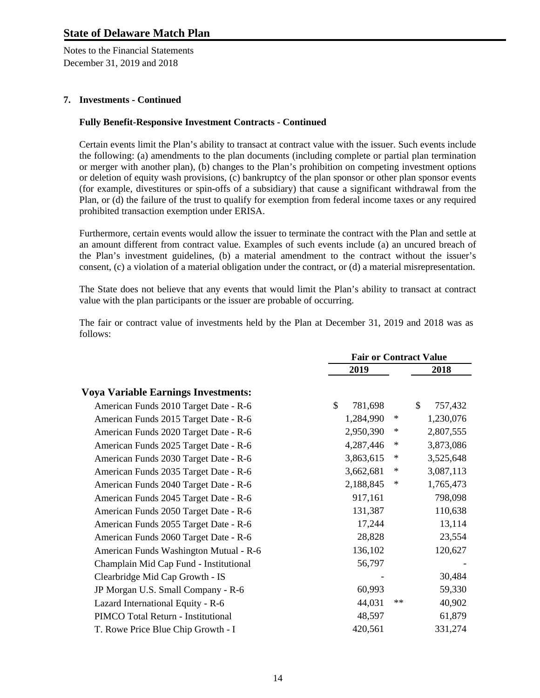## **7. Investments - Continued**

## **Fully Benefit-Responsive Investment Contracts - Continued**

Certain events limit the Plan's ability to transact at contract value with the issuer. Such events include the following: (a) amendments to the plan documents (including complete or partial plan termination or merger with another plan), (b) changes to the Plan's prohibition on competing investment options or deletion of equity wash provisions, (c) bankruptcy of the plan sponsor or other plan sponsor events (for example, divestitures or spin-offs of a subsidiary) that cause a significant withdrawal from the Plan, or (d) the failure of the trust to qualify for exemption from federal income taxes or any required prohibited transaction exemption under ERISA.

Furthermore, certain events would allow the issuer to terminate the contract with the Plan and settle at an amount different from contract value. Examples of such events include (a) an uncured breach of the Plan's investment guidelines, (b) a material amendment to the contract without the issuer's consent, (c) a violation of a material obligation under the contract, or (d) a material misrepresentation.

The State does not believe that any events that would limit the Plan's ability to transact at contract value with the plan participants or the issuer are probable of occurring.

The fair or contract value of investments held by the Plan at December 31, 2019 and 2018 was as follows:

|                                            |               |        | <b>Fair or Contract Value</b> |
|--------------------------------------------|---------------|--------|-------------------------------|
|                                            | 2019          |        | 2018                          |
| <b>Voya Variable Earnings Investments:</b> |               |        |                               |
| American Funds 2010 Target Date - R-6      | \$<br>781,698 |        | \$<br>757,432                 |
| American Funds 2015 Target Date - R-6      | 1,284,990     | $\ast$ | 1,230,076                     |
| American Funds 2020 Target Date - R-6      | 2,950,390     | ∗      | 2,807,555                     |
| American Funds 2025 Target Date - R-6      | 4,287,446     | $\ast$ | 3,873,086                     |
| American Funds 2030 Target Date - R-6      | 3,863,615     | ∗      | 3,525,648                     |
| American Funds 2035 Target Date - R-6      | 3,662,681     | $\ast$ | 3,087,113                     |
| American Funds 2040 Target Date - R-6      | 2,188,845     | ∗      | 1,765,473                     |
| American Funds 2045 Target Date - R-6      | 917,161       |        | 798,098                       |
| American Funds 2050 Target Date - R-6      | 131,387       |        | 110,638                       |
| American Funds 2055 Target Date - R-6      | 17,244        |        | 13,114                        |
| American Funds 2060 Target Date - R-6      | 28,828        |        | 23,554                        |
| American Funds Washington Mutual - R-6     | 136,102       |        | 120,627                       |
| Champlain Mid Cap Fund - Institutional     | 56,797        |        |                               |
| Clearbridge Mid Cap Growth - IS            |               |        | 30,484                        |
| JP Morgan U.S. Small Company - R-6         | 60,993        |        | 59,330                        |
| Lazard International Equity - R-6          | 44,031        | $***$  | 40,902                        |
| PIMCO Total Return - Institutional         | 48,597        |        | 61,879                        |
| T. Rowe Price Blue Chip Growth - I         | 420,561       |        | 331,274                       |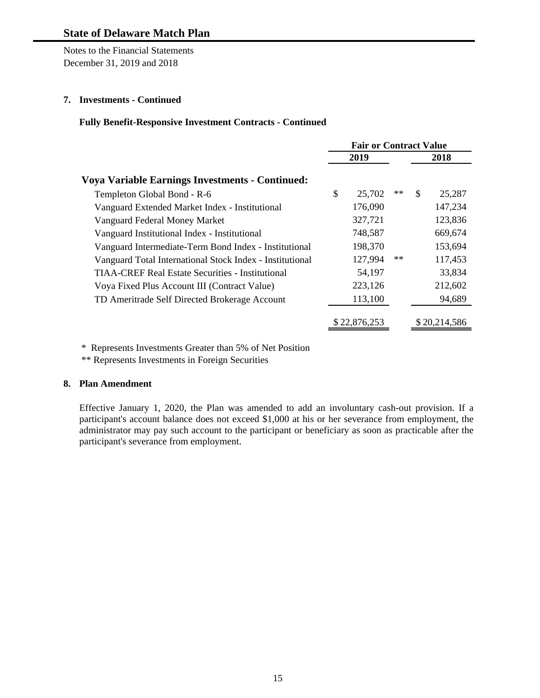Notes to the Financial Statements December 31, 2019 and 2018

## **7. Investments - Continued**

## **Fully Benefit-Responsive Investment Contracts - Continued**

|                                                          | <b>Fair or Contract Value</b> |              |       |     |              |
|----------------------------------------------------------|-------------------------------|--------------|-------|-----|--------------|
|                                                          | 2019<br>2018                  |              |       |     |              |
| <b>Voya Variable Earnings Investments - Continued:</b>   |                               |              |       |     |              |
| Templeton Global Bond - R-6                              | \$                            | 25,702       | $***$ | \$. | 25,287       |
| Vanguard Extended Market Index - Institutional           |                               | 176,090      |       |     | 147,234      |
| Vanguard Federal Money Market                            |                               | 327,721      |       |     | 123,836      |
| Vanguard Institutional Index - Institutional             |                               | 748,587      |       |     | 669,674      |
| Vanguard Intermediate-Term Bond Index - Institutional    |                               | 198,370      |       |     | 153,694      |
| Vanguard Total International Stock Index - Institutional |                               | 127,994      | $**$  |     | 117,453      |
| <b>TIAA-CREF Real Estate Securities - Institutional</b>  |                               | 54,197       |       |     | 33,834       |
| Voya Fixed Plus Account III (Contract Value)             |                               | 223,126      |       |     | 212,602      |
| TD Ameritrade Self Directed Brokerage Account            |                               | 113,100      |       |     | 94,689       |
|                                                          |                               | \$22,876,253 |       |     | \$20,214,586 |

\* Represents Investments Greater than 5% of Net Position

\*\* Represents Investments in Foreign Securities

## **8. Plan Amendment**

Effective January 1, 2020, the Plan was amended to add an involuntary cash-out provision. If a participant's account balance does not exceed \$1,000 at his or her severance from employment, the administrator may pay such account to the participant or beneficiary as soon as practicable after the participant's severance from employment.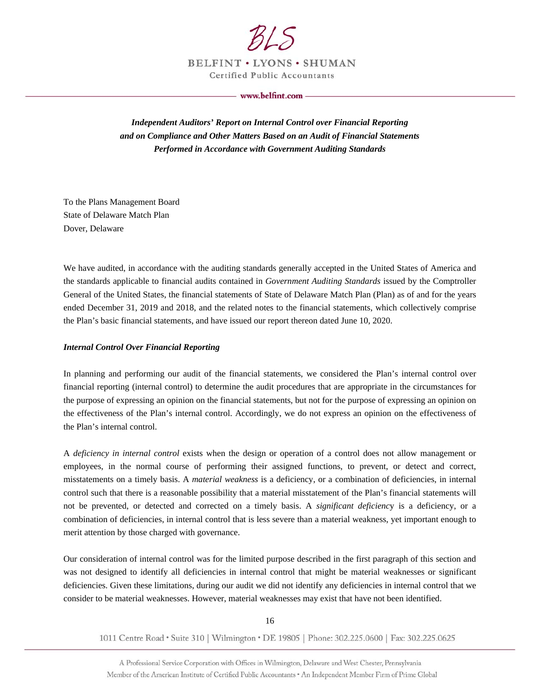

**BELFINT . LYONS . SHUMAN Certified Public Accountants** 

#### www.belfint.com

*Independent Auditors' Report on Internal Control over Financial Reporting and on Compliance and Other Matters Based on an Audit of Financial Statements Performed in Accordance with Government Auditing Standards* 

To the Plans Management Board State of Delaware Match Plan Dover, Delaware

We have audited, in accordance with the auditing standards generally accepted in the United States of America and the standards applicable to financial audits contained in *Government Auditing Standards* issued by the Comptroller General of the United States, the financial statements of State of Delaware Match Plan (Plan) as of and for the years ended December 31, 2019 and 2018, and the related notes to the financial statements, which collectively comprise the Plan's basic financial statements, and have issued our report thereon dated June 10, 2020.

#### *Internal Control Over Financial Reporting*

In planning and performing our audit of the financial statements, we considered the Plan's internal control over financial reporting (internal control) to determine the audit procedures that are appropriate in the circumstances for the purpose of expressing an opinion on the financial statements, but not for the purpose of expressing an opinion on the effectiveness of the Plan's internal control. Accordingly, we do not express an opinion on the effectiveness of the Plan's internal control.

A *deficiency in internal control* exists when the design or operation of a control does not allow management or employees, in the normal course of performing their assigned functions, to prevent, or detect and correct, misstatements on a timely basis. A *material weakness* is a deficiency, or a combination of deficiencies, in internal control such that there is a reasonable possibility that a material misstatement of the Plan's financial statements will not be prevented, or detected and corrected on a timely basis. A *significant deficienc*y is a deficiency, or a combination of deficiencies, in internal control that is less severe than a material weakness, yet important enough to merit attention by those charged with governance.

Our consideration of internal control was for the limited purpose described in the first paragraph of this section and was not designed to identify all deficiencies in internal control that might be material weaknesses or significant deficiencies. Given these limitations, during our audit we did not identify any deficiencies in internal control that we consider to be material weaknesses. However, material weaknesses may exist that have not been identified.

16

1011 Centre Road • Suite 310 | Wilmington • DE 19805 | Phone: 302.225.0600 | Fax: 302.225.0625